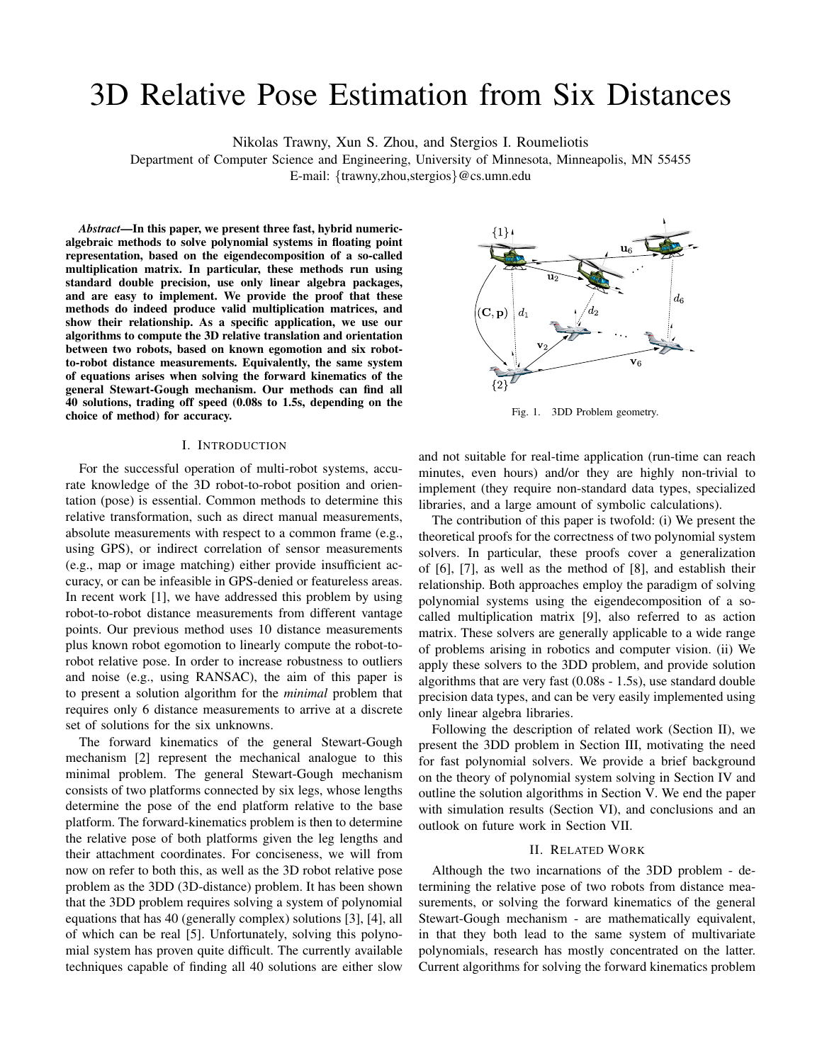# 3D Relative Pose Estimation from Six Distances

Nikolas Trawny, Xun S. Zhou, and Stergios I. Roumeliotis

Department of Computer Science and Engineering, University of Minnesota, Minneapolis, MN 55455

E-mail: {trawny,zhou,stergios}@cs.umn.edu

*Abstract***—In this paper, we present three fast, hybrid numericalgebraic methods to solve polynomial systems in floating point representation, based on the eigendecomposition of a so-called multiplication matrix. In particular, these methods run using standard double precision, use only linear algebra packages, and are easy to implement. We provide the proof that these methods do indeed produce valid multiplication matrices, and show their relationship. As a specific application, we use our algorithms to compute the 3D relative translation and orientation between two robots, based on known egomotion and six robotto-robot distance measurements. Equivalently, the same system of equations arises when solving the forward kinematics of the general Stewart-Gough mechanism. Our methods can find all 40 solutions, trading off speed (0.08s to 1.5s, depending on the choice of method) for accuracy.**

#### I. INTRODUCTION

For the successful operation of multi-robot systems, accurate knowledge of the 3D robot-to-robot position and orientation (pose) is essential. Common methods to determine this relative transformation, such as direct manual measurements, absolute measurements with respect to a common frame (e.g., using GPS), or indirect correlation of sensor measurements (e.g., map or image matching) either provide insufficient accuracy, or can be infeasible in GPS-denied or featureless areas. In recent work [1], we have addressed this problem by using robot-to-robot distance measurements from different vantage points. Our previous method uses 10 distance measurements plus known robot egomotion to linearly compute the robot-torobot relative pose. In order to increase robustness to outliers and noise (e.g., using RANSAC), the aim of this paper is to present a solution algorithm for the *minimal* problem that requires only 6 distance measurements to arrive at a discrete set of solutions for the six unknowns.

The forward kinematics of the general Stewart-Gough mechanism [2] represent the mechanical analogue to this minimal problem. The general Stewart-Gough mechanism consists of two platforms connected by six legs, whose lengths determine the pose of the end platform relative to the base platform. The forward-kinematics problem is then to determine the relative pose of both platforms given the leg lengths and their attachment coordinates. For conciseness, we will from now on refer to both this, as well as the 3D robot relative pose problem as the 3DD (3D-distance) problem. It has been shown that the 3DD problem requires solving a system of polynomial equations that has 40 (generally complex) solutions [3], [4], all of which can be real [5]. Unfortunately, solving this polynomial system has proven quite difficult. The currently available techniques capable of finding all 40 solutions are either slow



Fig. 1. 3DD Problem geometry.

and not suitable for real-time application (run-time can reach minutes, even hours) and/or they are highly non-trivial to implement (they require non-standard data types, specialized libraries, and a large amount of symbolic calculations).

The contribution of this paper is twofold: (i) We present the theoretical proofs for the correctness of two polynomial system solvers. In particular, these proofs cover a generalization of [6], [7], as well as the method of [8], and establish their relationship. Both approaches employ the paradigm of solving polynomial systems using the eigendecomposition of a socalled multiplication matrix [9], also referred to as action matrix. These solvers are generally applicable to a wide range of problems arising in robotics and computer vision. (ii) We apply these solvers to the 3DD problem, and provide solution algorithms that are very fast (0.08s - 1.5s), use standard double precision data types, and can be very easily implemented using only linear algebra libraries.

Following the description of related work (Section II), we present the 3DD problem in Section III, motivating the need for fast polynomial solvers. We provide a brief background on the theory of polynomial system solving in Section IV and outline the solution algorithms in Section V. We end the paper with simulation results (Section VI), and conclusions and an outlook on future work in Section VII.

#### II. RELATED WORK

Although the two incarnations of the 3DD problem - determining the relative pose of two robots from distance measurements, or solving the forward kinematics of the general Stewart-Gough mechanism - are mathematically equivalent, in that they both lead to the same system of multivariate polynomials, research has mostly concentrated on the latter. Current algorithms for solving the forward kinematics problem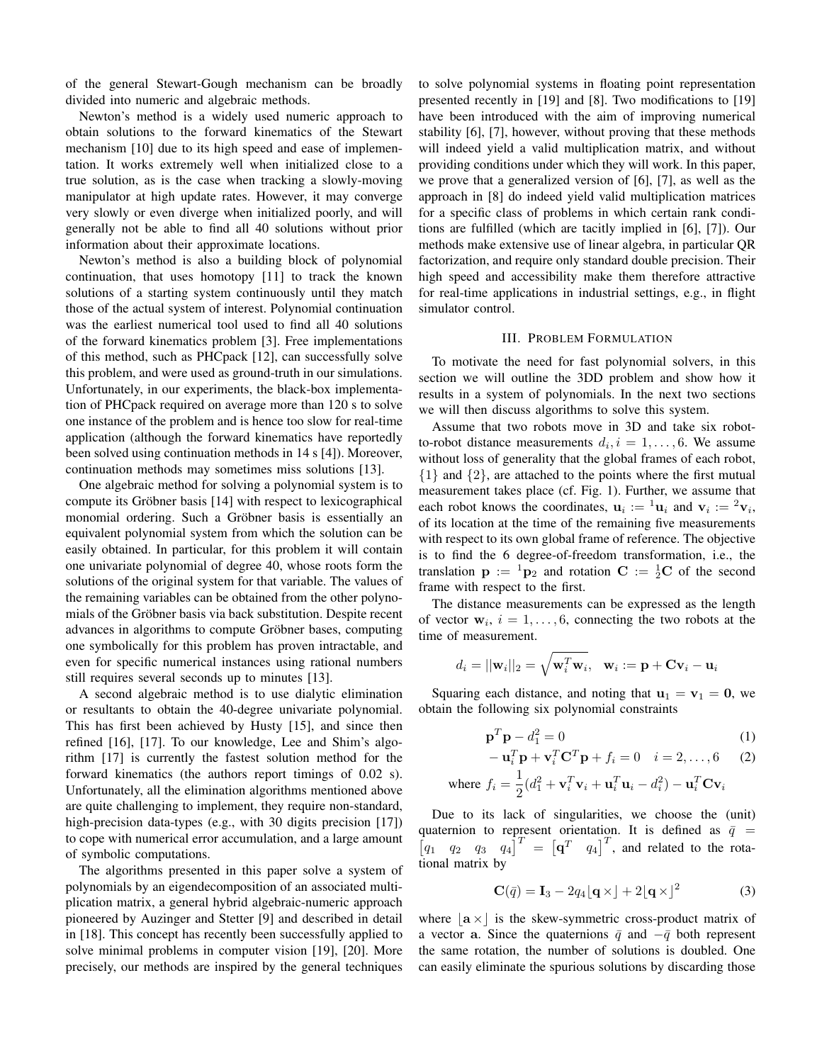of the general Stewart-Gough mechanism can be broadly divided into numeric and algebraic methods.

Newton's method is a widely used numeric approach to obtain solutions to the forward kinematics of the Stewart mechanism [10] due to its high speed and ease of implementation. It works extremely well when initialized close to a true solution, as is the case when tracking a slowly-moving manipulator at high update rates. However, it may converge very slowly or even diverge when initialized poorly, and will generally not be able to find all 40 solutions without prior information about their approximate locations.

Newton's method is also a building block of polynomial continuation, that uses homotopy [11] to track the known solutions of a starting system continuously until they match those of the actual system of interest. Polynomial continuation was the earliest numerical tool used to find all 40 solutions of the forward kinematics problem [3]. Free implementations of this method, such as PHCpack [12], can successfully solve this problem, and were used as ground-truth in our simulations. Unfortunately, in our experiments, the black-box implementation of PHCpack required on average more than 120 s to solve one instance of the problem and is hence too slow for real-time application (although the forward kinematics have reportedly been solved using continuation methods in 14 s [4]). Moreover, continuation methods may sometimes miss solutions [13].

One algebraic method for solving a polynomial system is to compute its Gröbner basis [14] with respect to lexicographical monomial ordering. Such a Gröbner basis is essentially an equivalent polynomial system from which the solution can be easily obtained. In particular, for this problem it will contain one univariate polynomial of degree 40, whose roots form the solutions of the original system for that variable. The values of the remaining variables can be obtained from the other polynomials of the Gröbner basis via back substitution. Despite recent advances in algorithms to compute Gröbner bases, computing one symbolically for this problem has proven intractable, and even for specific numerical instances using rational numbers still requires several seconds up to minutes [13].

A second algebraic method is to use dialytic elimination or resultants to obtain the 40-degree univariate polynomial. This has first been achieved by Husty [15], and since then refined [16], [17]. To our knowledge, Lee and Shim's algorithm [17] is currently the fastest solution method for the forward kinematics (the authors report timings of 0.02 s). Unfortunately, all the elimination algorithms mentioned above are quite challenging to implement, they require non-standard, high-precision data-types (e.g., with 30 digits precision [17]) to cope with numerical error accumulation, and a large amount of symbolic computations.

The algorithms presented in this paper solve a system of polynomials by an eigendecomposition of an associated multiplication matrix, a general hybrid algebraic-numeric approach pioneered by Auzinger and Stetter [9] and described in detail in [18]. This concept has recently been successfully applied to solve minimal problems in computer vision [19], [20]. More precisely, our methods are inspired by the general techniques to solve polynomial systems in floating point representation presented recently in [19] and [8]. Two modifications to [19] have been introduced with the aim of improving numerical stability [6], [7], however, without proving that these methods will indeed yield a valid multiplication matrix, and without providing conditions under which they will work. In this paper, we prove that a generalized version of [6], [7], as well as the approach in [8] do indeed yield valid multiplication matrices for a specific class of problems in which certain rank conditions are fulfilled (which are tacitly implied in [6], [7]). Our methods make extensive use of linear algebra, in particular QR factorization, and require only standard double precision. Their high speed and accessibility make them therefore attractive for real-time applications in industrial settings, e.g., in flight simulator control.

## III. PROBLEM FORMULATION

To motivate the need for fast polynomial solvers, in this section we will outline the 3DD problem and show how it results in a system of polynomials. In the next two sections we will then discuss algorithms to solve this system.

Assume that two robots move in 3D and take six robotto-robot distance measurements  $d_i$ ,  $i = 1, \ldots, 6$ . We assume without loss of generality that the global frames of each robot,  $\{1\}$  and  $\{2\}$ , are attached to the points where the first mutual measurement takes place (cf. Fig. 1). Further, we assume that each robot knows the coordinates,  $\mathbf{u}_i := {}^1\mathbf{u}_i$  and  $\mathbf{v}_i := {}^2\mathbf{v}_i$ , of its location at the time of the remaining five measurements with respect to its own global frame of reference. The objective is to find the 6 degree-of-freedom transformation, i.e., the translation  $\mathbf{p} := {}^{1}p_{2}$  and rotation  $\mathbf{C} := {}^{1}_{2}\mathbf{C}$  of the second frame with respect to the first.

The distance measurements can be expressed as the length of vector  $w_i$ ,  $i = 1, \ldots, 6$ , connecting the two robots at the time of measurement.

$$
d_i = ||\mathbf{w}_i||_2 = \sqrt{\mathbf{w}_i^T \mathbf{w}_i}, \quad \mathbf{w}_i := \mathbf{p} + \mathbf{C} \mathbf{v}_i - \mathbf{u}_i
$$

Squaring each distance, and noting that  $u_1 = v_1 = 0$ , we obtain the following six polynomial constraints

$$
\mathbf{p}^T \mathbf{p} - d_1^2 = 0 \tag{1}
$$

$$
-\mathbf{u}_i^T \mathbf{p} + \mathbf{v}_i^T \mathbf{C}^T \mathbf{p} + f_i = 0 \quad i = 2, ..., 6 \tag{2}
$$

where 
$$
f_i = \frac{1}{2}(d_1^2 + \mathbf{v}_i^T \mathbf{v}_i + \mathbf{u}_i^T \mathbf{u}_i - d_i^2) - \mathbf{u}_i^T \mathbf{C} \mathbf{v}_i
$$

Due to its lack of singularities, we choose the (unit) quaternion to represent orientation. It is defined as  $\bar{q}$  =  $\begin{bmatrix} q_1 & q_2 & q_3 & q_4 \end{bmatrix}^T = \begin{bmatrix} q^T & q_4 \end{bmatrix}^T$ , and related to the rotational matrix by

$$
\mathbf{C}(\bar{q}) = \mathbf{I}_3 - 2q_4 \lfloor \mathbf{q} \times \rfloor + 2 \lfloor \mathbf{q} \times \rfloor^2 \tag{3}
$$

where  $|\mathbf{a} \times|$  is the skew-symmetric cross-product matrix of a vector a. Since the quaternions  $\bar{q}$  and  $-\bar{q}$  both represent the same rotation, the number of solutions is doubled. One can easily eliminate the spurious solutions by discarding those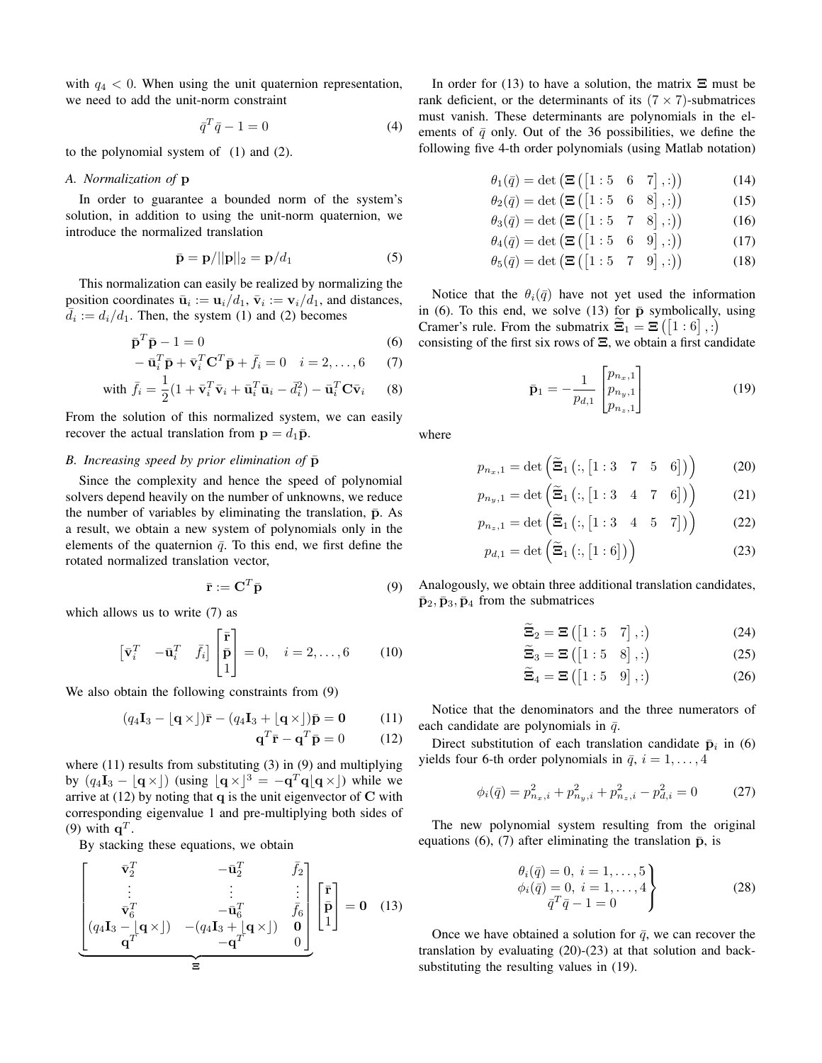with  $q_4 < 0$ . When using the unit quaternion representation, we need to add the unit-norm constraint

$$
\bar{q}^T \bar{q} - 1 = 0 \tag{4}
$$

to the polynomial system of (1) and (2).

## *A. Normalization of* p

In order to guarantee a bounded norm of the system's solution, in addition to using the unit-norm quaternion, we introduce the normalized translation

$$
\bar{\mathbf{p}} = \mathbf{p}/||\mathbf{p}||_2 = \mathbf{p}/d_1 \tag{5}
$$

This normalization can easily be realized by normalizing the position coordinates  $\bar{\mathbf{u}}_i := \mathbf{u}_i/d_1$ ,  $\bar{\mathbf{v}}_i := \mathbf{v}_i/d_1$ , and distances,  $\overline{d}_i := d_i/d_1$ . Then, the system (1) and (2) becomes

$$
\bar{\mathbf{p}}^T \bar{\mathbf{p}} - 1 = 0 \tag{6}
$$

$$
-\overline{\mathbf{u}}_i^T \overline{\mathbf{p}} + \overline{\mathbf{v}}_i^T \mathbf{C}^T \overline{\mathbf{p}} + \overline{f}_i = 0 \quad i = 2, \dots, 6 \tag{7}
$$

with 
$$
\bar{f}_i = \frac{1}{2} (1 + \bar{\mathbf{v}}_i^T \bar{\mathbf{v}}_i + \bar{\mathbf{u}}_i^T \bar{\mathbf{u}}_i - \bar{d}_i^2) - \bar{\mathbf{u}}_i^T \mathbf{C} \bar{\mathbf{v}}_i
$$
 (8)

From the solution of this normalized system, we can easily recover the actual translation from  $\mathbf{p} = d_1 \bar{\mathbf{p}}$ .

## *B. Increasing speed by prior elimination of*  $\bar{p}$

Since the complexity and hence the speed of polynomial solvers depend heavily on the number of unknowns, we reduce the number of variables by eliminating the translation,  $\bar{p}$ . As a result, we obtain a new system of polynomials only in the elements of the quaternion  $\bar{q}$ . To this end, we first define the rotated normalized translation vector,

$$
\bar{\mathbf{r}} := \mathbf{C}^T \bar{\mathbf{p}} \tag{9}
$$

which allows us to write  $(7)$  as

$$
\begin{bmatrix} \bar{\mathbf{v}}_i^T & -\bar{\mathbf{u}}_i^T & \bar{f}_i \end{bmatrix} \begin{bmatrix} \bar{\mathbf{r}} \\ \bar{\mathbf{p}} \\ 1 \end{bmatrix} = 0, \quad i = 2, \dots, 6 \quad (10)
$$

We also obtain the following constraints from (9)

$$
(q_4\mathbf{I}_3 - \lfloor \mathbf{q} \times \rfloor)\bar{\mathbf{r}} - (q_4\mathbf{I}_3 + \lfloor \mathbf{q} \times \rfloor)\bar{\mathbf{p}} = \mathbf{0} \tag{11}
$$

$$
\mathbf{q}^T \bar{\mathbf{r}} - \mathbf{q}^T \bar{\mathbf{p}} = 0 \tag{12}
$$

where (11) results from substituting (3) in (9) and multiplying by  $(q_4I_3 - q_3I_3)$  (using  $(q \times 3) = -q_3q_3(q \times 1)$  while we arrive at  $(12)$  by noting that q is the unit eigenvector of C with corresponding eigenvalue 1 and pre-multiplying both sides of (9) with  $\mathbf{q}^T$ .

By stacking these equations, we obtain

$$
\begin{bmatrix}\n\bar{\mathbf{v}}_2^T & -\bar{\mathbf{u}}_2^T & \bar{f}_2 \\
\vdots & \vdots & \vdots \\
\bar{\mathbf{v}}_6^T & -\bar{\mathbf{u}}_6^T & \bar{f}_6 \\
(q_4\mathbf{I}_3 - \mathbf{u}_1^T \times \mathbf{v}) & -(q_4\mathbf{I}_3 + \mathbf{u}_1^T \times \mathbf{v}) & \mathbf{0} \\
\hline\n\mathbf{q}^T & -\mathbf{q}^T & 0\n\end{bmatrix}\n\begin{bmatrix}\n\bar{\mathbf{r}} \\
\bar{\mathbf{p}} \\
1\n\end{bmatrix} = \mathbf{0} \quad (13)
$$

In order for (13) to have a solution, the matrix  $\Xi$  must be rank deficient, or the determinants of its  $(7 \times 7)$ -submatrices must vanish. These determinants are polynomials in the elements of  $\bar{q}$  only. Out of the 36 possibilities, we define the following five 4-th order polynomials (using Matlab notation)

$$
\theta_1(\bar{q}) = \det\left(\mathbf{\Xi}\left(\begin{bmatrix}1:5 & 6 & 7\end{bmatrix},:\right)\right) \tag{14}
$$

$$
\theta_2(\bar{q}) = \det\left(\mathbf{\Xi}\left(\begin{bmatrix}1:5 & 6 & 8\end{bmatrix},:\right)\right) \tag{15}
$$

$$
\theta_3(\bar{q}) = \det\left(\mathbf{\Xi}\left(\begin{bmatrix}1:5&7&8\end{bmatrix},:\right)\right) \tag{16}
$$

$$
\theta_4(\bar{q}) = \det\left(\mathbf{\Xi}\left(\begin{bmatrix}1:5 & 6 & 9\end{bmatrix},:\right)\right) \tag{17}
$$

$$
\theta_5(\bar{q}) = \det\left(\mathbf{\Xi}\left(\begin{bmatrix}1:5&7&9\end{bmatrix},:\right)\right) \tag{18}
$$

Notice that the  $\theta_i(\bar{q})$  have not yet used the information in (6). To this end, we solve (13) for  $\bar{p}$  symbolically, using Cramer's rule. From the submatrix  $\widetilde{\Xi}_1 = \Xi([1:6], :)$ consisting of the first six rows of  $\Xi$ , we obtain a first candidate

$$
\bar{\mathbf{p}}_1 = -\frac{1}{p_{d,1}} \begin{bmatrix} p_{n_x,1} \\ p_{n_y,1} \\ p_{n_z,1} \end{bmatrix}
$$
 (19)

where

$$
p_{n_x,1} = \det\left(\widetilde{\Xi}_1\left(:,\begin{bmatrix}1:3&7&5&6\end{bmatrix})\right)\right) \tag{20}
$$

$$
p_{n_y,1} = \det\left(\widetilde{\Xi}_1\left(:,\begin{bmatrix}1:3&4&7&6\end{bmatrix})\right)\right) \tag{21}
$$

$$
p_{n_z,1} = \det\left(\widetilde{\Xi}_1\left(:,\begin{bmatrix}1:3&4&5&7\end{bmatrix})\right)\right) \tag{22}
$$

$$
p_{d,1} = \det\left(\widetilde{\Xi}_1\left(:,\left[1:6\right]\right)\right) \tag{23}
$$

Analogously, we obtain three additional translation candidates,  $\bar{\mathbf{p}}_2$ ,  $\bar{\mathbf{p}}_3$ ,  $\bar{\mathbf{p}}_4$  from the submatrices

$$
\widetilde{\Xi}_2 = \Xi\left(\begin{bmatrix}1:5&7\end{bmatrix},:\right) \tag{24}
$$

$$
\widetilde{\Xi}_3 = \Xi\left(\begin{bmatrix}1:5&8\end{bmatrix},:\right) \tag{25}
$$

$$
\widetilde{\Xi}_4 = \Xi \left( \begin{bmatrix} 1:5 & 9 \end{bmatrix}, :\right) \tag{26}
$$

Notice that the denominators and the three numerators of each candidate are polynomials in  $\bar{q}$ .

Direct substitution of each translation candidate  $\bar{p}_i$  in (6) yields four 6-th order polynomials in  $\bar{q}$ ,  $i = 1, \ldots, 4$ 

$$
\phi_i(\bar{q}) = p_{n_x,i}^2 + p_{n_y,i}^2 + p_{n_z,i}^2 - p_{d,i}^2 = 0 \tag{27}
$$

The new polynomial system resulting from the original equations (6), (7) after eliminating the translation  $\bar{p}$ , is

$$
\begin{aligned}\n\theta_i(\bar{q}) &= 0, \ i = 1, \dots, 5 \\
\phi_i(\bar{q}) &= 0, \ i = 1, \dots, 4 \\
\bar{q}^T \bar{q} - 1 &= 0\n\end{aligned}
$$
\n(28)

Once we have obtained a solution for  $\bar{q}$ , we can recover the translation by evaluating (20)-(23) at that solution and backsubstituting the resulting values in (19).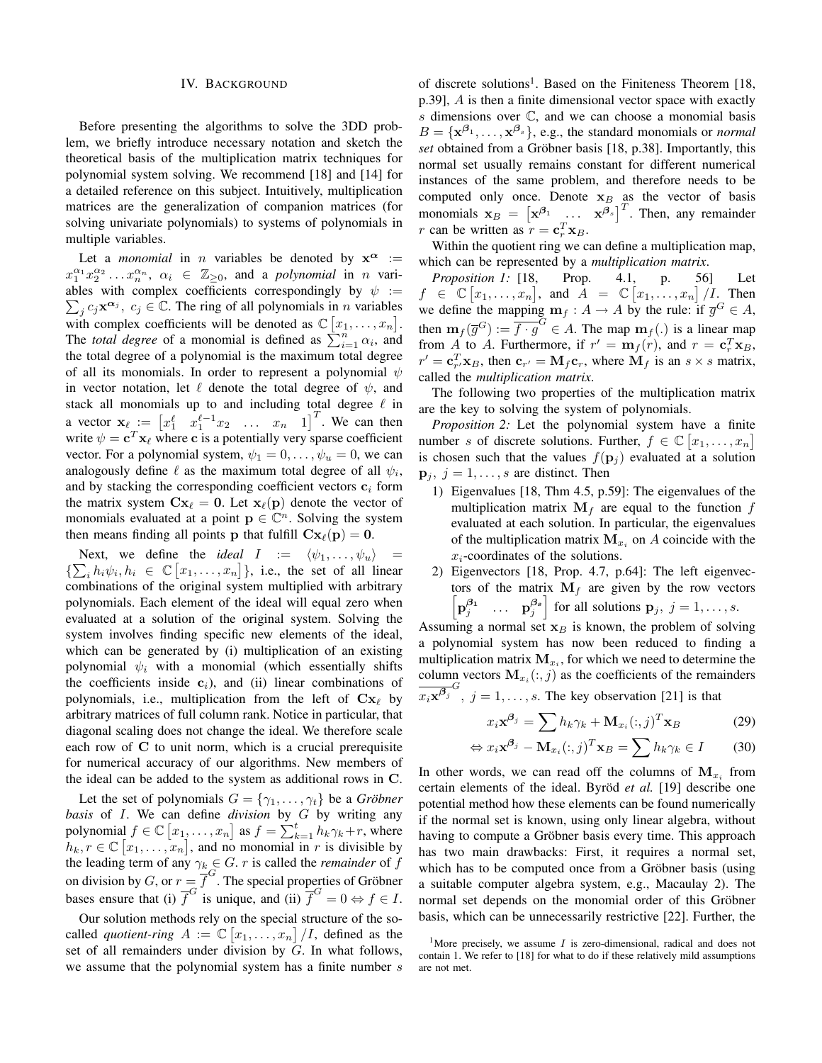#### IV. BACKGROUND

Before presenting the algorithms to solve the 3DD problem, we briefly introduce necessary notation and sketch the theoretical basis of the multiplication matrix techniques for polynomial system solving. We recommend [18] and [14] for a detailed reference on this subject. Intuitively, multiplication matrices are the generalization of companion matrices (for solving univariate polynomials) to systems of polynomials in multiple variables.

Let a *monomial* in *n* variables be denoted by  $x^{\alpha}$  :=  $x_1^{\alpha_1} x_2^{\alpha_2} \dots x_n^{\alpha_n}$ ,  $\alpha_i \in \mathbb{Z}_{\geq 0}$ , and a *polynomial* in *n* variables with complex coefficients correspondingly by  $\psi :=$  $\sum_j c_j \mathbf{x}^{\alpha_j}$ ,  $c_j \in \mathbb{C}$ . The ring of all polynomials in *n* variables with complex coefficients will be denoted as  $\mathbb{C}[x_1,\ldots,x_n]$ . The *total degree* of a monomial is defined as  $\sum_{i=1}^{n} \alpha_i$ , and the total degree of a polynomial is the maximum total degree of all its monomials. In order to represent a polynomial  $\psi$ in vector notation, let  $\ell$  denote the total degree of  $\psi$ , and stack all monomials up to and including total degree  $\ell$  in a vector  $\mathbf{x}_{\ell} := \begin{bmatrix} x_1^{\ell} & x_1^{\ell-1}x_2 & \dots & x_n & 1 \end{bmatrix}^T$ . We can then write  $\psi = \mathbf{c}^T \mathbf{x}_{\ell}$  where c is a potentially very sparse coefficient vector. For a polynomial system,  $\psi_1 = 0, \dots, \psi_u = 0$ , we can analogously define  $\ell$  as the maximum total degree of all  $\psi_i$ , and by stacking the corresponding coefficient vectors  $c_i$  form the matrix system  $Cx_\ell = 0$ . Let  $x_\ell(p)$  denote the vector of monomials evaluated at a point  $\mathbf{p} \in \mathbb{C}^n$ . Solving the system then means finding all points **p** that fulfill  $Cx_{\ell}(p) = 0$ .

Next, we define the *ideal*  $I := \langle \psi_1, \dots, \psi_u \rangle$  =  $\{\sum_i h_i \psi_i, h_i \in \mathbb{C} [x_1, \ldots, x_n]\},$  i.e., the set of all linear combinations of the original system multiplied with arbitrary polynomials. Each element of the ideal will equal zero when evaluated at a solution of the original system. Solving the system involves finding specific new elements of the ideal, which can be generated by (i) multiplication of an existing polynomial  $\psi_i$  with a monomial (which essentially shifts the coefficients inside  $c_i$ ), and (ii) linear combinations of polynomials, i.e., multiplication from the left of  $Cx_\ell$  by arbitrary matrices of full column rank. Notice in particular, that diagonal scaling does not change the ideal. We therefore scale each row of C to unit norm, which is a crucial prerequisite for numerical accuracy of our algorithms. New members of the ideal can be added to the system as additional rows in C.

Let the set of polynomials  $G = \{\gamma_1, \dots, \gamma_t\}$  be a *Gröbner basis* of I. We can define *division* by G by writing any polynomial  $f \in \mathbb{C} [x_1, \dots, x_n]$  as  $f = \sum_{k=1}^{t} h_k \gamma_k + r$ , where  $h_k, r \in \mathbb{C} [x_1, \ldots, x_n]$ , and no monomial in r is divisible by the leading term of any  $\gamma_k \in G$ . *r* is called the *remainder* of *f* on division by G, or  $r = \overline{f}^G$ . The special properties of Gröbner bases ensure that (i)  $\overline{f}^G$  is unique, and (ii)  $\overline{f}^G = 0 \Leftrightarrow f \in I$ .

Our solution methods rely on the special structure of the socalled *quotient-ring*  $A := \mathbb{C}[x_1, \ldots, x_n]/I$ , defined as the set of all remainders under division by  $G$ . In what follows, we assume that the polynomial system has a finite number s

of discrete solutions<sup>1</sup>. Based on the Finiteness Theorem [18, p.39], A is then a finite dimensional vector space with exactly  $s$  dimensions over  $\mathbb{C}$ , and we can choose a monomial basis  $B = {\mathbf{x}^{\beta_1}, \dots, \mathbf{x}^{\beta_s}}$ , e.g., the standard monomials or *normal set* obtained from a Gröbner basis [18, p.38]. Importantly, this normal set usually remains constant for different numerical instances of the same problem, and therefore needs to be computed only once. Denote  $x_B$  as the vector of basis monomials  $\mathbf{x}_B = \begin{bmatrix} \mathbf{x}^{\beta_1} & \dots & \mathbf{x}^{\beta_s} \end{bmatrix}^T$ . Then, any remainder r can be written as  $r = \mathbf{c}_r^T \mathbf{x}_B$ .

Within the quotient ring we can define a multiplication map, which can be represented by a *multiplication matrix*.

*Proposition 1:* [18, Prop. 4.1, p. 56] Let  $f \in \mathbb{C} [x_1, \ldots, x_n]$ , and  $A = \mathbb{C} [x_1, \ldots, x_n] / I$ . Then we define the mapping  $\mathbf{m}_f : A \to A$  by the rule: if  $\overline{g}^G \in A$ , then  $\mathbf{m}_f(\overline{g}^G) := \overline{f \cdot g}^G \in A$ . The map  $\mathbf{m}_f(.)$  is a linear map from A to A. Furthermore, if  $r' = \mathbf{m}_f(r)$ , and  $r = \mathbf{c}_r^T \mathbf{x}_B$ ,  $r' = \mathbf{c}_{r'}^T \mathbf{x}_B$ , then  $\mathbf{c}_{r'} = \mathbf{M}_f \mathbf{c}_r$ , where  $\mathbf{M}_f$  is an  $s \times s$  matrix, called the *multiplication matrix*.

The following two properties of the multiplication matrix are the key to solving the system of polynomials.

*Proposition 2:* Let the polynomial system have a finite number s of discrete solutions. Further,  $f \in \mathbb{C} [x_1, \ldots, x_n]$ is chosen such that the values  $f(\mathbf{p}_i)$  evaluated at a solution  $\mathbf{p}_i$ ,  $j = 1, \ldots, s$  are distinct. Then

- 1) Eigenvalues [18, Thm 4.5, p.59]: The eigenvalues of the multiplication matrix  $M_f$  are equal to the function f evaluated at each solution. In particular, the eigenvalues of the multiplication matrix  $M_{x_i}$  on A coincide with the  $x_i$ -coordinates of the solutions.
- 2) Eigenvectors [18, Prop. 4.7, p.64]: The left eigenvectors of the matrix  $M_f$  are given by the row vectors  $\begin{bmatrix} \mathbf{p}_{j}^{\beta_{1}} & \cdots & \mathbf{p}_{j}^{\beta_{s}} \end{bmatrix}$ for all solutions  $\mathbf{p}_j, j = 1, \ldots, s$ .

Assuming a normal set  $x_B$  is known, the problem of solving a polynomial system has now been reduced to finding a multiplication matrix  $M_{x_i}$ , for which we need to determine the column vectors  $\mathbf{M}_{x_i}(:,j)$  as the coefficients of the remainders  $\overline{x_i \mathbf{x}^{\beta_j}}^G$ ,  $j = 1, \ldots, s$ . The key observation [21] is that

$$
x_i \mathbf{x}^{\beta_j} = \sum h_k \gamma_k + \mathbf{M}_{x_i}(:,j)^T \mathbf{x}_B
$$
 (29)

$$
\Leftrightarrow x_i \mathbf{x}^{\beta_j} - \mathbf{M}_{x_i}(:,j)^T \mathbf{x}_B = \sum h_k \gamma_k \in I \qquad (30)
$$

In other words, we can read off the columns of  $\mathbf{M}_{x_i}$  from certain elements of the ideal. Byröd et al. [19] describe one potential method how these elements can be found numerically if the normal set is known, using only linear algebra, without having to compute a Gröbner basis every time. This approach has two main drawbacks: First, it requires a normal set, which has to be computed once from a Gröbner basis (using a suitable computer algebra system, e.g., Macaulay 2). The normal set depends on the monomial order of this Gröbner basis, which can be unnecessarily restrictive [22]. Further, the

<sup>&</sup>lt;sup>1</sup>More precisely, we assume  $I$  is zero-dimensional, radical and does not contain 1. We refer to [18] for what to do if these relatively mild assumptions are not met.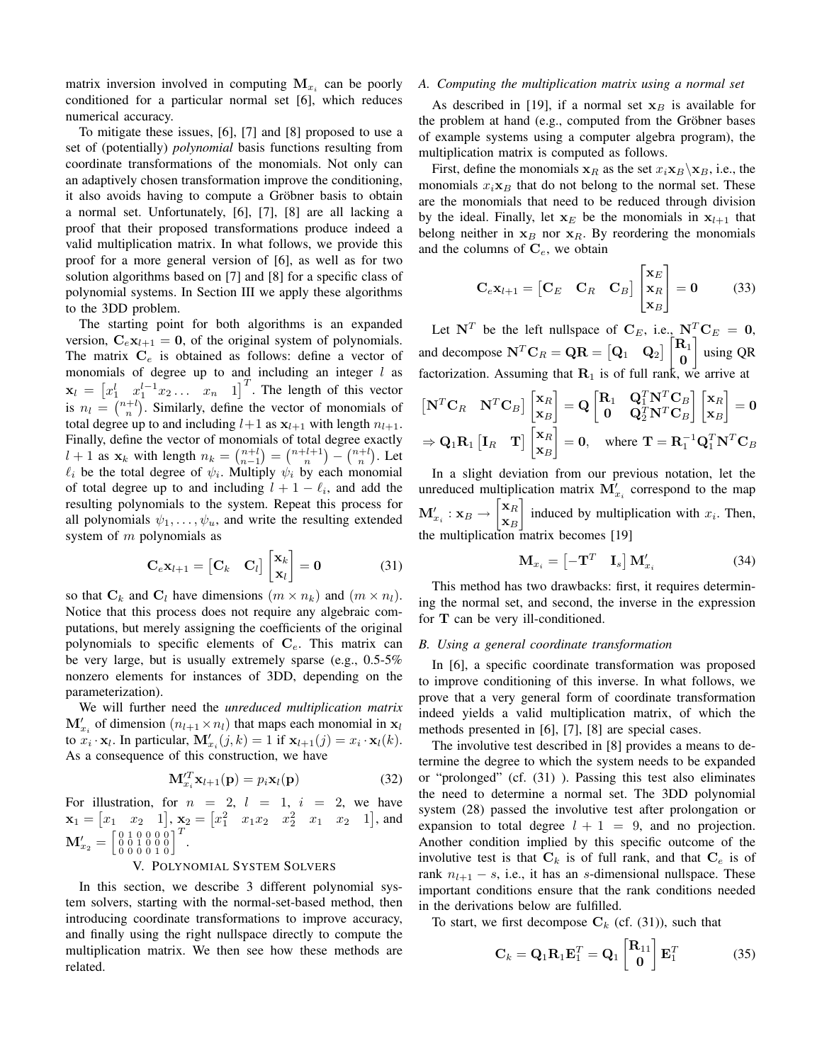matrix inversion involved in computing  $M_{x_i}$  can be poorly conditioned for a particular normal set [6], which reduces numerical accuracy.

To mitigate these issues, [6], [7] and [8] proposed to use a set of (potentially) *polynomial* basis functions resulting from coordinate transformations of the monomials. Not only can an adaptively chosen transformation improve the conditioning, it also avoids having to compute a Gröbner basis to obtain a normal set. Unfortunately, [6], [7], [8] are all lacking a proof that their proposed transformations produce indeed a valid multiplication matrix. In what follows, we provide this proof for a more general version of [6], as well as for two solution algorithms based on [7] and [8] for a specific class of polynomial systems. In Section III we apply these algorithms to the 3DD problem.

The starting point for both algorithms is an expanded version,  $C_{\epsilon}x_{l+1} = 0$ , of the original system of polynomials. The matrix  $C_e$  is obtained as follows: define a vector of monomials of degree up to and including an integer  $l$  as  $\mathbf{x}_l = \begin{bmatrix} x_1^l & x_1^{l-1}x_2 \dots & x_n & 1 \end{bmatrix}^T$ . The length of this vector is  $n_l = \binom{n+l}{n}$ . Similarly, define the vector of monomials of total degree up to and including  $l+1$  as  $x_{l+1}$  with length  $n_{l+1}$ . Finally, define the vector of monomials of total degree exactly  $l + 1$  as  $\mathbf{x}_k$  with length  $n_k = \binom{n+l}{n-1} = \binom{n+l+1}{n} - \binom{n+l}{n}$ . Let  $\ell_i$  be the total degree of  $\psi_i$ . Multiply  $\psi_i$  by each monomial of total degree up to and including  $l + 1 - \ell_i$ , and add the resulting polynomials to the system. Repeat this process for all polynomials  $\psi_1, \dots, \psi_u$ , and write the resulting extended system of  $m$  polynomials as

$$
\mathbf{C}_e \mathbf{x}_{l+1} = \begin{bmatrix} \mathbf{C}_k & \mathbf{C}_l \end{bmatrix} \begin{bmatrix} \mathbf{x}_k \\ \mathbf{x}_l \end{bmatrix} = \mathbf{0}
$$
 (31)

so that  $C_k$  and  $C_l$  have dimensions  $(m \times n_k)$  and  $(m \times n_l)$ . Notice that this process does not require any algebraic computations, but merely assigning the coefficients of the original polynomials to specific elements of  $C_e$ . This matrix can be very large, but is usually extremely sparse (e.g., 0.5-5% nonzero elements for instances of 3DD, depending on the parameterization).

We will further need the *unreduced multiplication matrix*  $\mathbf{M}'_{x_i}$  of dimension  $(n_{l+1} \times n_l)$  that maps each monomial in  $\mathbf{x}_l$ to  $x_i \cdot \mathbf{x}_l$ . In particular,  $\mathbf{M}'_{x_i}(j,k) = 1$  if  $\mathbf{x}_{l+1}(j) = x_i \cdot \mathbf{x}_l(k)$ . As a consequence of this construction, we have

$$
\mathbf{M}_{x_i}^{\prime T} \mathbf{x}_{l+1}(\mathbf{p}) = p_i \mathbf{x}_l(\mathbf{p})
$$
 (32)

For illustration, for  $n = 2$ ,  $l = 1$ ,  $i = 2$ , we have  $\mathbf{x}_1 = \begin{bmatrix} x_1 & x_2 & 1 \end{bmatrix}$ ,  $\mathbf{x}_2 = \begin{bmatrix} x_1^2 & x_1x_2 & x_2^2 & x_1 & x_2 & 1 \end{bmatrix}$ , and  $\mathbf{M}'_{x_2} = \left[ \begin{smallmatrix} 0 & 1 & 0 & 0 & 0 & 0 \ 0 & 0 & 1 & 0 & 0 & 0 \ 0 & 0 & 0 & 0 & 1 & 0 \end{smallmatrix} \right]^T.$ 

## V. POLYNOMIAL SYSTEM SOLVERS

In this section, we describe 3 different polynomial system solvers, starting with the normal-set-based method, then introducing coordinate transformations to improve accuracy, and finally using the right nullspace directly to compute the multiplication matrix. We then see how these methods are related.

## *A. Computing the multiplication matrix using a normal set*

As described in [19], if a normal set  $x_B$  is available for the problem at hand (e.g., computed from the Gröbner bases of example systems using a computer algebra program), the multiplication matrix is computed as follows.

First, define the monomials  $x_R$  as the set  $x_i \mathbf{x}_B \setminus \mathbf{x}_B$ , i.e., the monomials  $x_i \mathbf{x}_B$  that do not belong to the normal set. These are the monomials that need to be reduced through division by the ideal. Finally, let  $x_E$  be the monomials in  $x_{l+1}$  that belong neither in  $x_B$  nor  $x_R$ . By reordering the monomials and the columns of  $C_e$ , we obtain

$$
\mathbf{C}_e \mathbf{x}_{l+1} = \begin{bmatrix} \mathbf{C}_E & \mathbf{C}_R & \mathbf{C}_B \end{bmatrix} \begin{bmatrix} \mathbf{x}_E \\ \mathbf{x}_R \\ \mathbf{x}_B \end{bmatrix} = \mathbf{0} \tag{33}
$$

Let  $N^T$  be the left nullspace of  $C_E$ , i.e.,  $N^T C_E = 0$ , and decompose  $N^T C_R = QR = [Q_1 \ Q_2] \begin{bmatrix} R_1 \ R_2 \end{bmatrix}$ 0 l. using QR factorization. Assuming that  $\mathbf{R}_1$  is of full rank, we arrive at

$$
\begin{bmatrix} \mathbf{N}^T \mathbf{C}_R & \mathbf{N}^T \mathbf{C}_B \end{bmatrix} \begin{bmatrix} \mathbf{x}_R \\ \mathbf{x}_B \end{bmatrix} = \mathbf{Q} \begin{bmatrix} \mathbf{R}_1 & \mathbf{Q}_1^T \mathbf{N}^T \mathbf{C}_B \\ \mathbf{0} & \mathbf{Q}_2^T \mathbf{N}^T \mathbf{C}_B \end{bmatrix} \begin{bmatrix} \mathbf{x}_R \\ \mathbf{x}_B \end{bmatrix} = \mathbf{0}
$$
  
\n
$$
\Rightarrow \mathbf{Q}_1 \mathbf{R}_1 \begin{bmatrix} \mathbf{I}_R & \mathbf{T} \end{bmatrix} \begin{bmatrix} \mathbf{x}_R \\ \mathbf{x}_B \end{bmatrix} = \mathbf{0}, \text{ where } \mathbf{T} = \mathbf{R}_1^{-1} \mathbf{Q}_1^T \mathbf{N}^T \mathbf{C}_B
$$

In a slight deviation from our previous notation, let the unreduced multiplication matrix  $\mathbf{M}'_{x_i}$  correspond to the map  ${\bf M}'_{x_i}:{\bf x}_B\to$  $\bar{\mathbf{x}}_R$  $\mathbf{x}_B$ 1 induced by multiplication with  $x_i$ . Then, the multiplication matrix becomes [19]

$$
\mathbf{M}_{x_i} = \begin{bmatrix} -\mathbf{T}^T & \mathbf{I}_s \end{bmatrix} \mathbf{M}'_{x_i} \tag{34}
$$

This method has two drawbacks: first, it requires determining the normal set, and second, the inverse in the expression for T can be very ill-conditioned.

## *B. Using a general coordinate transformation*

In [6], a specific coordinate transformation was proposed to improve conditioning of this inverse. In what follows, we prove that a very general form of coordinate transformation indeed yields a valid multiplication matrix, of which the methods presented in [6], [7], [8] are special cases.

The involutive test described in [8] provides a means to determine the degree to which the system needs to be expanded or "prolonged" (cf. (31) ). Passing this test also eliminates the need to determine a normal set. The 3DD polynomial system (28) passed the involutive test after prolongation or expansion to total degree  $l + 1 = 9$ , and no projection. Another condition implied by this specific outcome of the involutive test is that  $C_k$  is of full rank, and that  $C_e$  is of rank  $n_{l+1} - s$ , i.e., it has an s-dimensional nullspace. These important conditions ensure that the rank conditions needed in the derivations below are fulfilled.

To start, we first decompose  $C_k$  (cf. (31)), such that

$$
\mathbf{C}_k = \mathbf{Q}_1 \mathbf{R}_1 \mathbf{E}_1^T = \mathbf{Q}_1 \begin{bmatrix} \mathbf{R}_{11} \\ \mathbf{0} \end{bmatrix} \mathbf{E}_1^T
$$
 (35)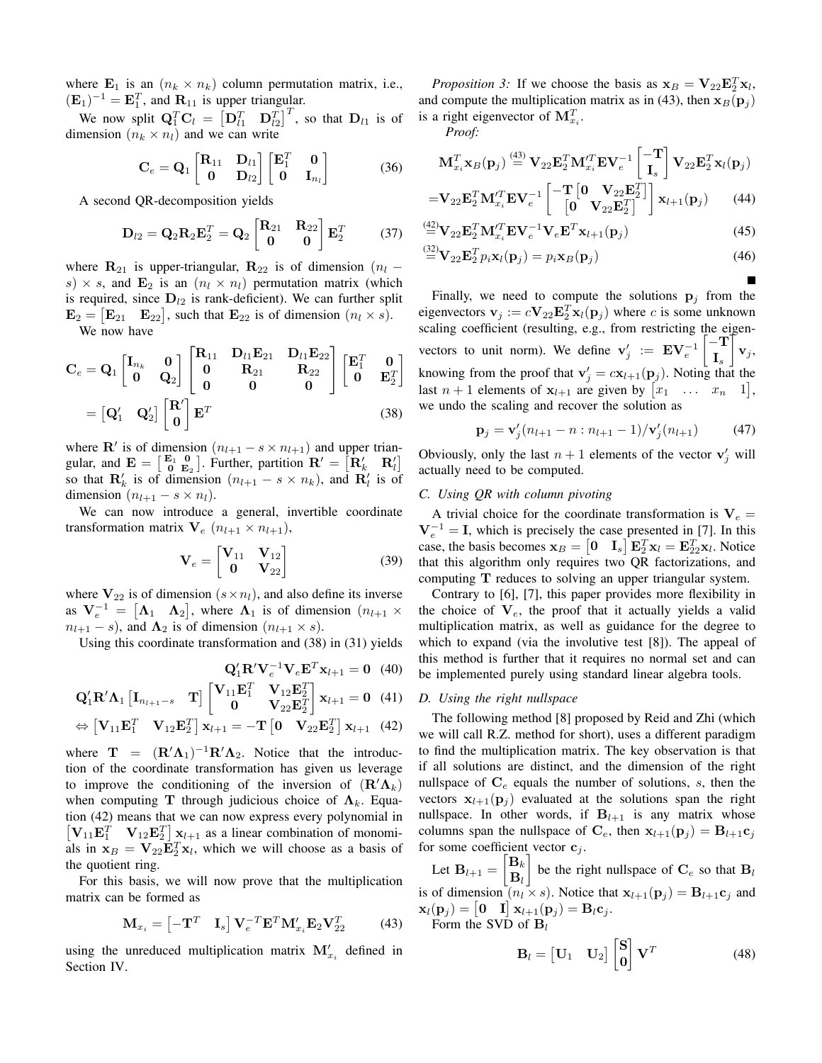where  $\mathbf{E}_1$  is an  $(n_k \times n_k)$  column permutation matrix, i.e.,  $(\mathbf{E}_1)^{-1} = \mathbf{E}_1^T$ , and  $\mathbf{R}_{11}$  is upper triangular.

We now split  $\mathbf{Q}_1^T \mathbf{C}_l = \begin{bmatrix} \mathbf{D}_{l1}^T & \mathbf{D}_{l2}^T \end{bmatrix}^T$ , so that  $\mathbf{D}_{l1}$  is of dimension  $(n_k \times n_l)$  and we can write

$$
\mathbf{C}_e = \mathbf{Q}_1 \begin{bmatrix} \mathbf{R}_{11} & \mathbf{D}_{l1} \\ \mathbf{0} & \mathbf{D}_{l2} \end{bmatrix} \begin{bmatrix} \mathbf{E}_1^T & \mathbf{0} \\ \mathbf{0} & \mathbf{I}_{n_l} \end{bmatrix}
$$
(36)

A second QR-decomposition yields

$$
\mathbf{D}_{l2} = \mathbf{Q}_2 \mathbf{R}_2 \mathbf{E}_2^T = \mathbf{Q}_2 \begin{bmatrix} \mathbf{R}_{21} & \mathbf{R}_{22} \\ \mathbf{0} & \mathbf{0} \end{bmatrix} \mathbf{E}_2^T
$$
 (37)

where  $\mathbf{R}_{21}$  is upper-triangular,  $\mathbf{R}_{22}$  is of dimension ( $n_l$  – s)  $\times$  s, and  $\mathbf{E}_2$  is an  $(n_l \times n_l)$  permutation matrix (which is required, since  $D_{l2}$  is rank-deficient). We can further split  $\mathbf{E}_2 = [\mathbf{E}_{21} \quad \mathbf{E}_{22}],$  such that  $\mathbf{E}_{22}$  is of dimension  $(n_l \times s)$ . We now have

$$
C_e = Q_1 \begin{bmatrix} I_{n_k} & 0 \\ 0 & Q_2 \end{bmatrix} \begin{bmatrix} R_{11} & D_{l1}E_{21} & D_{l1}E_{22} \\ 0 & R_{21} & R_{22} \\ 0 & 0 & 0 \end{bmatrix} \begin{bmatrix} E_1^T & 0 \\ 0 & E_2^T \end{bmatrix}
$$

$$
= \begin{bmatrix} Q_1' & Q_2' \end{bmatrix} \begin{bmatrix} R' \\ 0 \end{bmatrix} E^T
$$
(38)

where  $\mathbf{R}'$  is of dimension  $(n_{l+1} - s \times n_{l+1})$  and upper triangular, and  $\mathbf{E} = \begin{bmatrix} \mathbf{E}_1 & \mathbf{0} \\ \mathbf{0} & \mathbf{E}_2 \end{bmatrix}$ . Further, partition  $\mathbf{R}' = \begin{bmatrix} \mathbf{R}'_k & \mathbf{R}'_l \end{bmatrix}$ so that  $\mathbf{R}'_k$  is of dimension  $(n_{l+1} - s \times n_k)$ , and  $\mathbf{R}'_l$  is of dimension  $(n_{l+1} - s \times n_l)$ .

We can now introduce a general, invertible coordinate transformation matrix  $\mathbf{V}_e$   $(n_{l+1} \times n_{l+1}),$ 

$$
\mathbf{V}_e = \begin{bmatrix} \mathbf{V}_{11} & \mathbf{V}_{12} \\ \mathbf{0} & \mathbf{V}_{22} \end{bmatrix} \tag{39}
$$

where  $V_{22}$  is of dimension  $(s \times n_l)$ , and also define its inverse as  $V_e^{-1} = [\Lambda_1 \quad \Lambda_2]$ , where  $\Lambda_1$  is of dimension  $(n_{l+1} \times$  $n_{l+1} - s$ ), and  $\Lambda_2$  is of dimension  $(n_{l+1} \times s)$ .

Using this coordinate transformation and (38) in (31) yields

$$
\mathbf{Q}_1' \mathbf{R}' \mathbf{V}_e^{-1} \mathbf{V}_e \mathbf{E}^T \mathbf{x}_{l+1} = \mathbf{0} \quad (40)
$$
  

$$
[\mathbf{V}_{11} \mathbf{E}_1^T \quad \mathbf{V}_{12} \mathbf{E}_4^T]
$$

$$
\mathbf{Q}'_1 \mathbf{R}' \mathbf{\Lambda}_1 \begin{bmatrix} \mathbf{I}_{n_{l+1}-s} & \mathbf{T} \end{bmatrix} \begin{bmatrix} \mathbf{V}_{11} \mathbf{E}_1^T & \mathbf{V}_{12} \mathbf{E}_2^T \\ \mathbf{0} & \mathbf{V}_{22} \mathbf{E}_2^T \end{bmatrix} \mathbf{x}_{l+1} = \mathbf{0} \tag{41}
$$

$$
\Leftrightarrow \begin{bmatrix} \mathbf{V}_{11} \mathbf{E}_1^T & \mathbf{V}_{12} \mathbf{E}_2^T \end{bmatrix} \mathbf{x}_{l+1} = -\mathbf{T} \begin{bmatrix} \mathbf{0} & \mathbf{V}_{22} \mathbf{E}_2^T \end{bmatrix} \mathbf{x}_{l+1} \tag{42}
$$

where  $\mathbf{T} = (\mathbf{R}'\mathbf{\Lambda}_1)^{-1}\mathbf{R}'\mathbf{\Lambda}_2$ . Notice that the introduction of the coordinate transformation has given us leverage to improve the conditioning of the inversion of  $(\mathbf{R}'\mathbf{\Lambda}_k)$ when computing T through judicious choice of  $\Lambda_k$ . Equation (42) means that we can now express every polynomial in  $\begin{bmatrix} \mathbf{V}_{11} \mathbf{E}_1^T & \mathbf{V}_{12} \mathbf{E}_2^T \end{bmatrix} \mathbf{x}_{l+1}$  as a linear combination of monomials in  $x_B = V_{22} \mathbf{E}_2^T \mathbf{x}_l$ , which we will choose as a basis of the quotient ring.

For this basis, we will now prove that the multiplication matrix can be formed as

$$
\mathbf{M}_{x_i} = \begin{bmatrix} -\mathbf{T}^T & \mathbf{I}_s \end{bmatrix} \mathbf{V}_e^{-T} \mathbf{E}^T \mathbf{M}_{x_i}' \mathbf{E}_2 \mathbf{V}_{22}^T \tag{43}
$$

using the unreduced multiplication matrix  $\mathbf{M}'_{x_i}$  defined in Section IV.

*Proposition 3:* If we choose the basis as  $\mathbf{x}_B = \mathbf{V}_{22} \mathbf{E}_2^T \mathbf{x}_l$ , and compute the multiplication matrix as in (43), then  $x_B(p_i)$ is a right eigenvector of  $\mathbf{M}_{x_i}^T$ .

*Proof:*

$$
\mathbf{M}_{x_i}^T \mathbf{x}_B(\mathbf{p}_j) \stackrel{(43)}{=} \mathbf{V}_{22} \mathbf{E}_2^T \mathbf{M}_{x_i}^{\prime T} \mathbf{E} \mathbf{V}_e^{-1} \begin{bmatrix} -\mathbf{T} \\ \mathbf{I}_s \end{bmatrix} \mathbf{V}_{22} \mathbf{E}_2^T \mathbf{x}_l(\mathbf{p}_j)
$$
\n
$$
= \mathbf{V}_{22} \mathbf{E}_2^T \mathbf{M}_{x_i}^{\prime T} \mathbf{E} \mathbf{V}_e^{-1} \begin{bmatrix} -\mathbf{T} \begin{bmatrix} \mathbf{0} & \mathbf{V}_{22} \mathbf{E}_2^T \end{bmatrix} \\ \begin{bmatrix} \mathbf{0} & \mathbf{V}_{22} \mathbf{E}_2^T \end{bmatrix} \mathbf{x}_{l+1}(\mathbf{p}_j) \end{bmatrix} \mathbf{x}_{l+1}(\mathbf{p}_j) \tag{44}
$$

$$
\stackrel{(42)}{=} \mathbf{V}_{22} \mathbf{E}_2^T \mathbf{M}_{x_i}^{\prime T} \mathbf{E} \mathbf{V}_e^{-1} \mathbf{V}_e \mathbf{E}^T \mathbf{x}_{l+1}(\mathbf{p}_j)
$$
(45)

$$
- \mathbf{v}_{22} \mathbf{L}_{2} \mathbf{w}_{x_i} \mathbf{L} \mathbf{v}_{e} \quad \mathbf{v}_{e} \mathbf{L} \quad \lambda_{l+1} (\mathbf{p}_j)
$$
(45)

$$
\stackrel{\text{def}}{=} \mathbf{V}_{22} \mathbf{E}_2^T p_i \mathbf{x}_l(\mathbf{p}_j) = p_i \mathbf{x}_B(\mathbf{p}_j) \tag{46}
$$

Finally, we need to compute the solutions  $\mathbf{p}_i$  from the eigenvectors  $\mathbf{v}_j := c \mathbf{V}_{22} \mathbf{E}_2^T \mathbf{x}_l(\mathbf{p}_j)$  where c is some unknown scaling coefficient (resulting, e.g., from restricting the eigenvectors to unit norm). We define  $v'_j := EV_e^{-1}$  $\overline{(-\mathbf{T})}$  $\mathbf{I}_s$ Ť  $\mathbf{v}_j$ knowing from the proof that  $\mathbf{v}'_j = c\mathbf{x}_{l+1}(\mathbf{p}_j)$ . Noting that the last  $n + 1$  elements of  $x_{l+1}$  are given by  $[x_1 \dots x_n \quad 1],$ we undo the scaling and recover the solution as

$$
\mathbf{p}_{j} = \mathbf{v}'_{j}(n_{l+1} - n : n_{l+1} - 1) / \mathbf{v}'_{j}(n_{l+1}) \tag{47}
$$

Obviously, only the last  $n + 1$  elements of the vector  $\mathbf{v}'_j$  will actually need to be computed.

## *C. Using QR with column pivoting*

A trivial choice for the coordinate transformation is  $V_e =$  $V_e^{-1} = I$ , which is precisely the case presented in [7]. In this case, the basis becomes  $\mathbf{x}_B = \begin{bmatrix} \mathbf{0} & \mathbf{I}_s \end{bmatrix} \mathbf{E}_2^T \mathbf{x}_l = \mathbf{E}_{22}^T \mathbf{x}_l$ . Notice that this algorithm only requires two QR factorizations, and computing T reduces to solving an upper triangular system.

Contrary to [6], [7], this paper provides more flexibility in the choice of  $V_e$ , the proof that it actually yields a valid multiplication matrix, as well as guidance for the degree to which to expand (via the involutive test [8]). The appeal of this method is further that it requires no normal set and can be implemented purely using standard linear algebra tools.

## *D. Using the right nullspace*

The following method [8] proposed by Reid and Zhi (which we will call R.Z. method for short), uses a different paradigm to find the multiplication matrix. The key observation is that if all solutions are distinct, and the dimension of the right nullspace of  $C_e$  equals the number of solutions,  $s$ , then the vectors  $x_{i+1}(\mathbf{p}_i)$  evaluated at the solutions span the right nullspace. In other words, if  $B_{l+1}$  is any matrix whose columns span the nullspace of  $C_e$ , then  $x_{l+1}(p_i) = B_{l+1}c_i$ for some coefficient vector  $c_j$ .

Let  $B_{l+1} =$  $\left[\mathbf{B}_k\right]$  $\mathbf{B}_l$ 1 be the right nullspace of  $\mathbf{C}_e$  so that  $\mathbf{B}_l$ is of dimension  $(n_l \times s)$ . Notice that  $\mathbf{x}_{l+1}(\mathbf{p}_j) = \mathbf{B}_{l+1}\mathbf{c}_j$  and  $\mathbf{x}_{l}(\mathbf{p}_j) = \begin{bmatrix} \mathbf{0} & \mathbf{I} \end{bmatrix} \mathbf{x}_{l+1}(\mathbf{p}_j) = \mathbf{B}_l \mathbf{c}_j.$ Form the SVD of  $B_l$ 

$$
\mathbf{B}_{l} = \begin{bmatrix} \mathbf{U}_{1} & \mathbf{U}_{2} \end{bmatrix} \begin{bmatrix} \mathbf{S} \\ \mathbf{0} \end{bmatrix} \mathbf{V}^{T}
$$
 (48)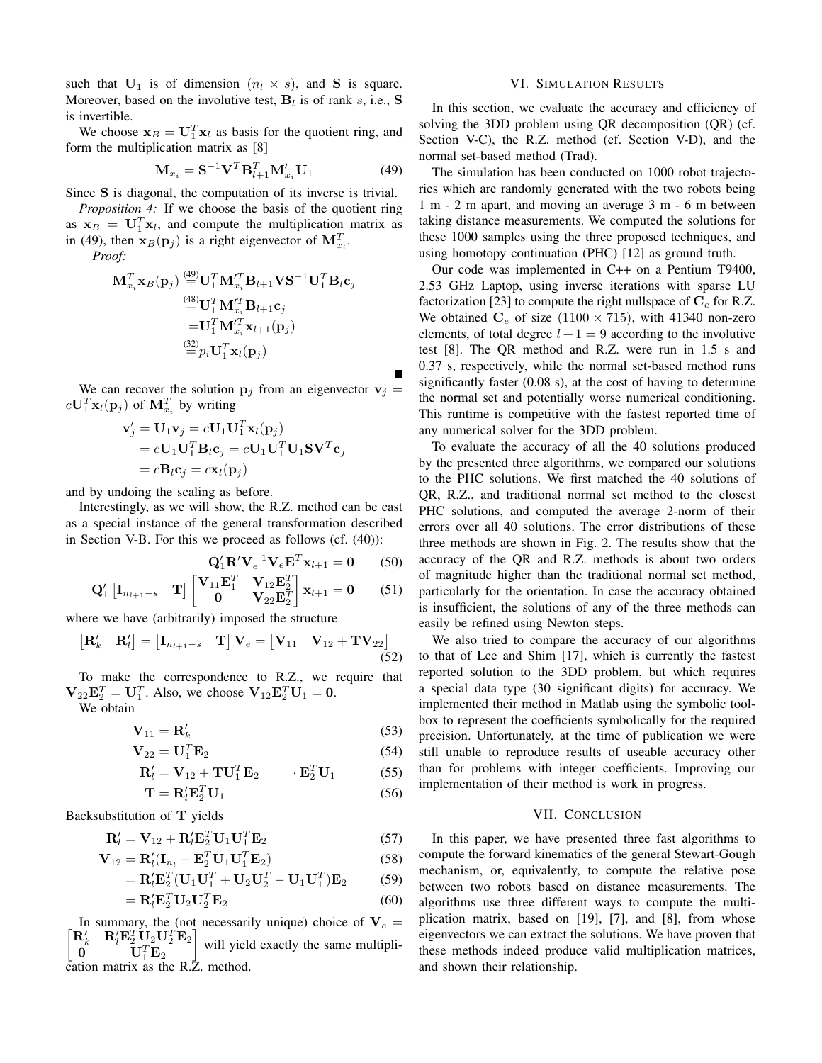such that  $U_1$  is of dimension  $(n_l \times s)$ , and S is square. Moreover, based on the involutive test,  $B_l$  is of rank s, i.e., S is invertible.

We choose  $x_B = U_1^T x_l$  as basis for the quotient ring, and form the multiplication matrix as [8]

$$
\mathbf{M}_{x_i} = \mathbf{S}^{-1} \mathbf{V}^T \mathbf{B}_{l+1}^T \mathbf{M}_{x_i}' \mathbf{U}_1 \tag{49}
$$

Since S is diagonal, the computation of its inverse is trivial.

*Proposition 4:* If we choose the basis of the quotient ring as  $x_B = U_1^T x_l$ , and compute the multiplication matrix as in (49), then  $\mathbf{x}_B(\mathbf{p}_j)$  is a right eigenvector of  $\mathbf{M}_{x_i}^T$ .

*Proof:*

$$
\begin{aligned} \mathbf{M}_{x_i}^T \mathbf{x}_B(\mathbf{p}_j) &\overset{\text{(49)}}{=} \mathbf{U}_1^T \mathbf{M}_{x_i}^{\prime T} \mathbf{B}_{l+1} \mathbf{V} \mathbf{S}^{-1} \mathbf{U}_1^T \mathbf{B}_l \mathbf{c}_j \\ &\overset{\text{(48)}}{=} \mathbf{U}_1^T \mathbf{M}_{x_i}^{\prime T} \mathbf{B}_{l+1} \mathbf{c}_j \\ &= \mathbf{U}_1^T \mathbf{M}_{x_i}^{\prime T} \mathbf{x}_{l+1}(\mathbf{p}_j) \\ &\overset{\text{(32)}}{=} p_i \mathbf{U}_1^T \mathbf{x}_l(\mathbf{p}_j) \end{aligned}
$$

We can recover the solution  $\mathbf{p}_j$  from an eigenvector  $\mathbf{v}_j =$  $c\mathbf{U}_1^T\mathbf{x}_l(\mathbf{p}_j)$  of  $\mathbf{M}_{x_i}^T$  by writing

$$
\mathbf{v}'_j = \mathbf{U}_1 \mathbf{v}_j = c \mathbf{U}_1 \mathbf{U}_1^T \mathbf{x}_l(\mathbf{p}_j)
$$
  
=  $c \mathbf{U}_1 \mathbf{U}_1^T \mathbf{B}_l \mathbf{c}_j = c \mathbf{U}_1 \mathbf{U}_1^T \mathbf{U}_1 \mathbf{S} \mathbf{V}^T \mathbf{c}_j$   
=  $c \mathbf{B}_l \mathbf{c}_j = c \mathbf{x}_l(\mathbf{p}_j)$ 

and by undoing the scaling as before.

Interestingly, as we will show, the R.Z. method can be cast as a special instance of the general transformation described in Section V-B. For this we proceed as follows (cf. (40)):

$$
\mathbf{Q}'_{1}\mathbf{R}'\mathbf{V}_{e}^{-1}\mathbf{V}_{e}\mathbf{E}^{T}\mathbf{x}_{l+1} = \mathbf{0} \qquad (50)
$$

 $(53)$ 

$$
\mathbf{Q}'_1 \begin{bmatrix} \mathbf{I}_{n_{l+1}-s} & \mathbf{T} \end{bmatrix} \begin{bmatrix} \mathbf{V}_{11} \mathbf{E}_1^T & \mathbf{V}_{12} \mathbf{E}_2^T \\ \mathbf{0} & \mathbf{V}_{22} \mathbf{E}_2^T \end{bmatrix} \mathbf{x}_{l+1} = \mathbf{0} \tag{51}
$$

where we have (arbitrarily) imposed the structure

$$
\begin{bmatrix} \mathbf{R}'_k & \mathbf{R}'_l \end{bmatrix} = \begin{bmatrix} \mathbf{I}_{n_{l+1}-s} & \mathbf{T} \end{bmatrix} \mathbf{V}_e = \begin{bmatrix} \mathbf{V}_{11} & \mathbf{V}_{12} + \mathbf{TV}_{22} \end{bmatrix}
$$
\n(52)

To make the correspondence to R.Z., we require that  $\mathbf{V}_{22}\mathbf{E}_2^T = \mathbf{U}_1^T$ . Also, we choose  $\mathbf{V}_{12}\mathbf{E}_2^T\mathbf{U}_1 = \mathbf{0}$ . We obtain

$$
\mathbf{v}^{\mathbf{r}} = \mathbf{v}^{\mathbf{r}}
$$

$$
\mathbf{V}_{11} = \mathbf{R}'_k \tag{53}
$$

$$
\mathbf{V}_{22} = \mathbf{U}_1^T \mathbf{E}_2 \tag{54}
$$

$$
\mathbf{R}'_l = \mathbf{V}_{12} + \mathbf{T}\mathbf{U}_1^T \mathbf{E}_2 \qquad | \cdot \mathbf{E}_2^T \mathbf{U}_1 \tag{55}
$$

 $\mathbf{T} = \mathbf{R}'_l \mathbf{E}_2^T \mathbf{U}_1$  (56)

Backsubstitution of 
$$
T
$$
 yields

$$
\mathbf{R}'_l = \mathbf{V}_{12} + \mathbf{R}'_l \mathbf{E}_2^T \mathbf{U}_1 \mathbf{U}_1^T \mathbf{E}_2 \tag{57}
$$

$$
\mathbf{V}_{12} = \mathbf{R}'_l(\mathbf{I}_{n_l} - \mathbf{E}_2^T \mathbf{U}_1 \mathbf{U}_1^T \mathbf{E}_2)
$$
 (58)

$$
= \mathbf{R}'_l \mathbf{E}_2^T (\mathbf{U}_1 \mathbf{U}_1^T + \mathbf{U}_2 \mathbf{U}_2^T - \mathbf{U}_1 \mathbf{U}_1^T) \mathbf{E}_2 \tag{59}
$$

$$
= \mathbf{R}'_l \mathbf{E}_2^T \mathbf{U}_2 \mathbf{U}_2^T \mathbf{E}_2 \tag{60}
$$

 $\begin{bmatrix} \mathbf{R}_k' & \mathbf{R}_l' \mathbf{E}_2^T \mathbf{U}_2 \mathbf{U}_2^T \mathbf{E}_2 \end{bmatrix}$ In summary, the (not necessarily unique) choice of  $V_e =$ <br> $R'_e = R'_e F_e^T U_2 U_3^T F_2$  $\mathbf{U}_1^T \mathbf{E}_2$ will yield exactly the same multiplication matrix as the R.Z. method.

#### VI. SIMULATION RESULTS

In this section, we evaluate the accuracy and efficiency of solving the 3DD problem using QR decomposition (QR) (cf. Section V-C), the R.Z. method (cf. Section V-D), and the normal set-based method (Trad).

The simulation has been conducted on 1000 robot trajectories which are randomly generated with the two robots being 1 m - 2 m apart, and moving an average 3 m - 6 m between taking distance measurements. We computed the solutions for these 1000 samples using the three proposed techniques, and using homotopy continuation (PHC) [12] as ground truth.

Our code was implemented in C++ on a Pentium T9400, 2.53 GHz Laptop, using inverse iterations with sparse LU factorization [23] to compute the right nullspace of  $C_e$  for R.Z. We obtained  $C_e$  of size (1100  $\times$  715), with 41340 non-zero elements, of total degree  $l + 1 = 9$  according to the involutive test [8]. The QR method and R.Z. were run in 1.5 s and 0.37 s, respectively, while the normal set-based method runs significantly faster (0.08 s), at the cost of having to determine the normal set and potentially worse numerical conditioning. This runtime is competitive with the fastest reported time of any numerical solver for the 3DD problem.

To evaluate the accuracy of all the 40 solutions produced by the presented three algorithms, we compared our solutions to the PHC solutions. We first matched the 40 solutions of QR, R.Z., and traditional normal set method to the closest PHC solutions, and computed the average 2-norm of their errors over all 40 solutions. The error distributions of these three methods are shown in Fig. 2. The results show that the accuracy of the QR and R.Z. methods is about two orders of magnitude higher than the traditional normal set method, particularly for the orientation. In case the accuracy obtained is insufficient, the solutions of any of the three methods can easily be refined using Newton steps.

We also tried to compare the accuracy of our algorithms to that of Lee and Shim [17], which is currently the fastest reported solution to the 3DD problem, but which requires a special data type (30 significant digits) for accuracy. We implemented their method in Matlab using the symbolic toolbox to represent the coefficients symbolically for the required precision. Unfortunately, at the time of publication we were still unable to reproduce results of useable accuracy other than for problems with integer coefficients. Improving our implementation of their method is work in progress.

#### VII. CONCLUSION

In this paper, we have presented three fast algorithms to compute the forward kinematics of the general Stewart-Gough mechanism, or, equivalently, to compute the relative pose between two robots based on distance measurements. The algorithms use three different ways to compute the multiplication matrix, based on [19], [7], and [8], from whose eigenvectors we can extract the solutions. We have proven that these methods indeed produce valid multiplication matrices, and shown their relationship.